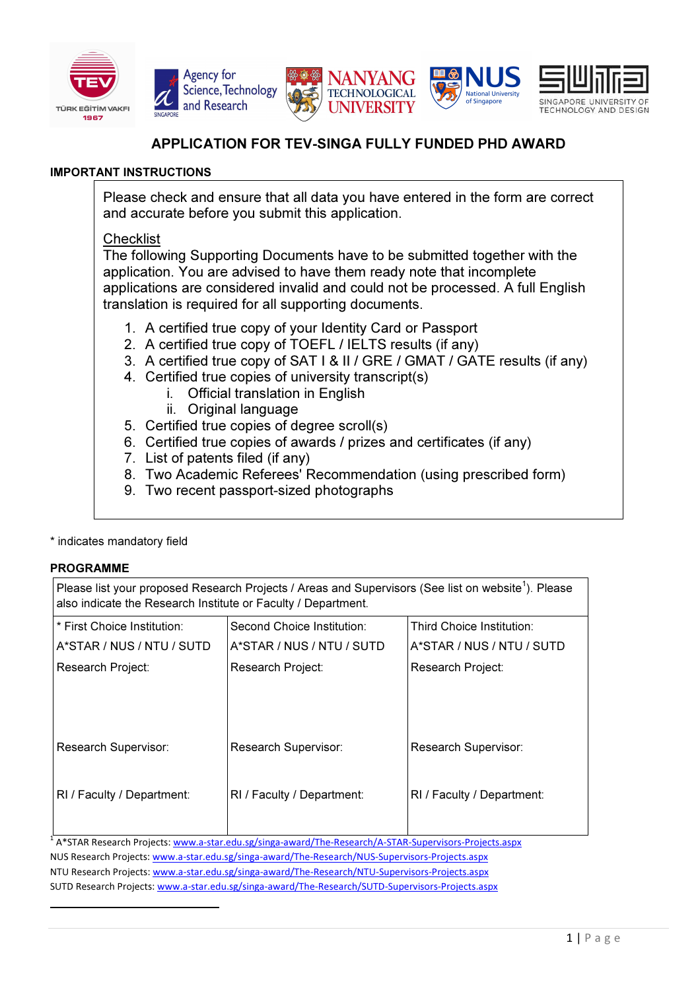







**National University** of Singapore

# APPLICATION FOR TEV-SINGA FULLY FUNDED PHD AWARD

# IMPORTANT INSTRUCTIONS

Please check and ensure that all data you have entered in the form are correct and accurate before you submit this application.

# **Checklist**

The following Supporting Documents have to be submitted together with the application. You are advised to have them ready note that incomplete applications are considered invalid and could not be processed. A full English translation is required for all supporting documents.

- 1. A certified true copy of your Identity Card or Passport
- 2. A certified true copy of TOEFL / IELTS results (if any)
- 3. A certified true copy of SAT I & II / GRE / GMAT / GATE results (if any)
- 4. Certified true copies of university transcript(s)
	- i. Official translation in English
	- ii. Original language
- 5. Certified true copies of degree scroll(s)
- 6. Certified true copies of awards / prizes and certificates (if any)
- 7. List of patents filed (if any)
- 8. Two Academic Referees' Recommendation (using prescribed form)
- 9. Two recent passport-sized photographs

# \* indicates mandatory field

# PROGRAMME

Please list your proposed Research Projects / Areas and Supervisors (See list on website<sup>1</sup>). Please also indicate the Research Institute or Faculty / Department.

| * First Choice Institution: | Second Choice Institution: | Third Choice Institution:  |
|-----------------------------|----------------------------|----------------------------|
| A*STAR / NUS / NTU / SUTD   | A*STAR / NUS / NTU / SUTD  | A*STAR / NUS / NTU / SUTD  |
| Research Project:           | Research Project:          | Research Project:          |
|                             |                            |                            |
|                             |                            |                            |
|                             |                            |                            |
| Research Supervisor:        | Research Supervisor:       | Research Supervisor:       |
|                             |                            |                            |
| RI / Faculty / Department:  | RI / Faculty / Department: | RI / Faculty / Department: |
|                             |                            |                            |
|                             |                            |                            |

<sup>1</sup> A\*STAR Research Projects: www.a-star.edu.sg/singa-award/The-Research/A-STAR-Supervisors-Projects.aspx NUS Research Projects: www.a-star.edu.sg/singa-award/The-Research/NUS-Supervisors-Projects.aspx NTU Research Projects: www.a-star.edu.sg/singa-award/The-Research/NTU-Supervisors-Projects.aspx SUTD Research Projects: www.a-star.edu.sg/singa-award/The-Research/SUTD-Supervisors-Projects.aspx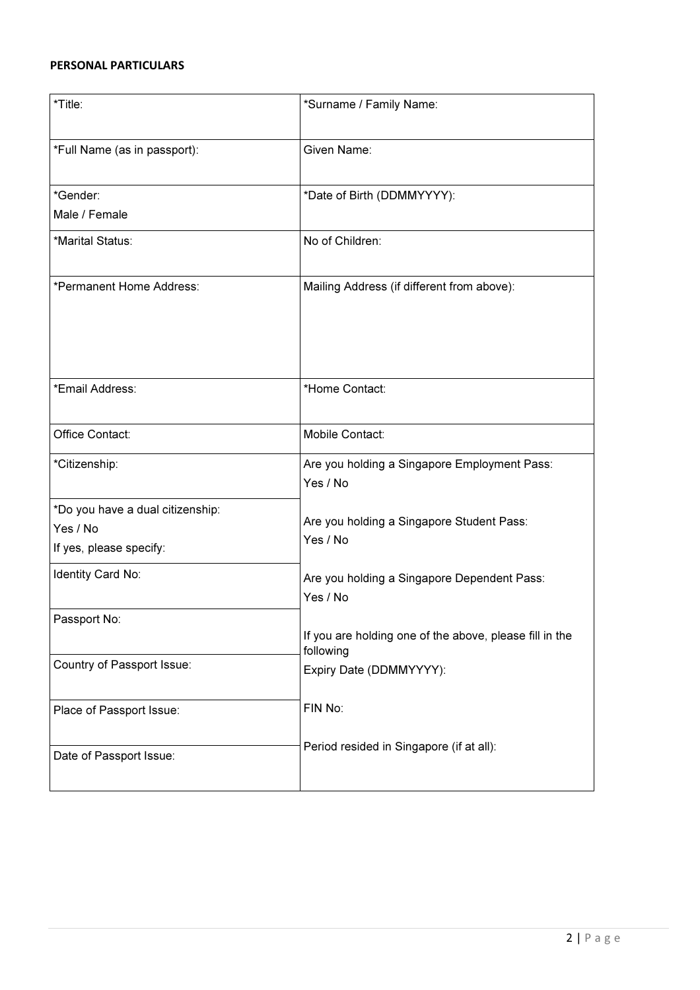# PERSONAL PARTICULARS

| *Title:                                                                 | *Surname / Family Name:                                              |
|-------------------------------------------------------------------------|----------------------------------------------------------------------|
| *Full Name (as in passport):                                            | Given Name:                                                          |
| *Gender:<br>Male / Female                                               | *Date of Birth (DDMMYYYY):                                           |
| *Marital Status:                                                        | No of Children:                                                      |
| *Permanent Home Address:                                                | Mailing Address (if different from above):                           |
| *Email Address:                                                         | *Home Contact:                                                       |
| Office Contact:                                                         | Mobile Contact:                                                      |
| *Citizenship:                                                           | Are you holding a Singapore Employment Pass:<br>Yes / No             |
| *Do you have a dual citizenship:<br>Yes / No<br>If yes, please specify: | Are you holding a Singapore Student Pass:<br>Yes / No                |
| Identity Card No:                                                       | Are you holding a Singapore Dependent Pass:<br>Yes / No              |
| Passport No:                                                            | If you are holding one of the above, please fill in the<br>following |
| Country of Passport Issue:                                              | Expiry Date (DDMMYYYY):                                              |
| Place of Passport Issue:                                                | FIN No:                                                              |
| Date of Passport Issue:                                                 | Period resided in Singapore (if at all):                             |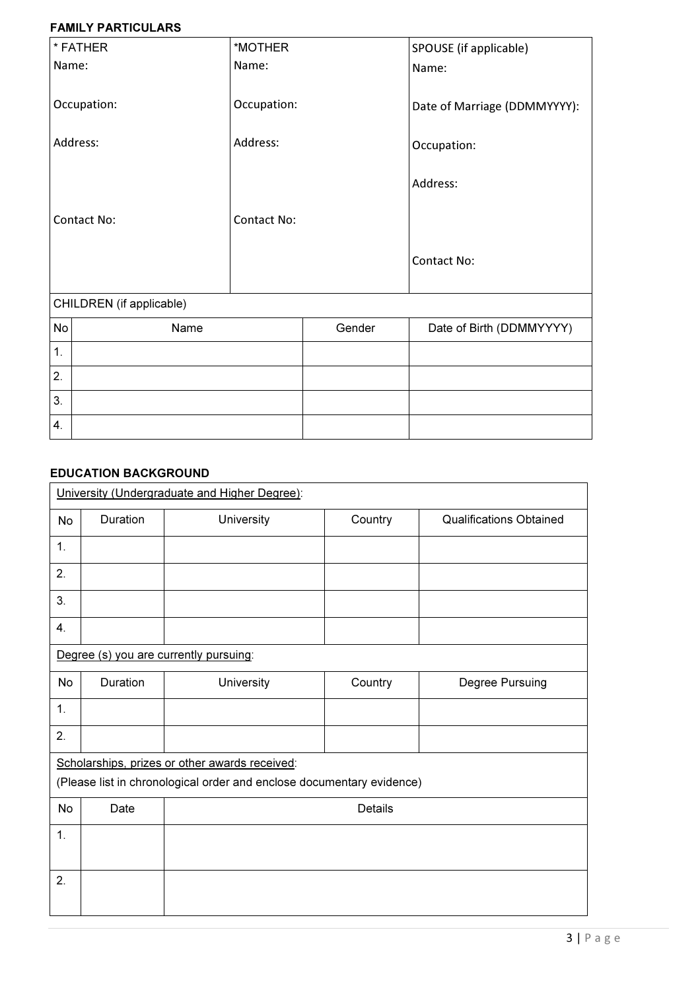### FAMILY PARTICULARS

| * FATHER                 | *MOTHER            |        | SPOUSE (if applicable)       |
|--------------------------|--------------------|--------|------------------------------|
| Name:                    | Name:              |        | Name:                        |
|                          |                    |        |                              |
| Occupation:              | Occupation:        |        | Date of Marriage (DDMMYYYY): |
|                          |                    |        |                              |
| Address:                 | Address:           |        | Occupation:                  |
|                          |                    |        |                              |
|                          |                    |        | Address:                     |
| <b>Contact No:</b>       | <b>Contact No:</b> |        |                              |
|                          |                    |        |                              |
|                          |                    |        | <b>Contact No:</b>           |
|                          |                    |        |                              |
|                          |                    |        |                              |
| CHILDREN (if applicable) |                    |        |                              |
| No<br>Name               |                    | Gender | Date of Birth (DDMMYYYY)     |
| 1.                       |                    |        |                              |
| 2.                       |                    |        |                              |
| 3.                       |                    |        |                              |
| $\overline{4}$ .         |                    |        |                              |

# EDUCATION BACKGROUND

|           | University (Undergraduate and Higher Degree): |                                                                       |                |                                |  |
|-----------|-----------------------------------------------|-----------------------------------------------------------------------|----------------|--------------------------------|--|
| No        | Duration                                      | University                                                            | Country        | <b>Qualifications Obtained</b> |  |
| 1.        |                                               |                                                                       |                |                                |  |
| 2.        |                                               |                                                                       |                |                                |  |
| 3.        |                                               |                                                                       |                |                                |  |
| 4.        |                                               |                                                                       |                |                                |  |
|           |                                               | Degree (s) you are currently pursuing:                                |                |                                |  |
| No        | Duration                                      | University                                                            | Country        | Degree Pursuing                |  |
| 1.        |                                               |                                                                       |                |                                |  |
| 2.        |                                               |                                                                       |                |                                |  |
|           |                                               | Scholarships, prizes or other awards received:                        |                |                                |  |
|           |                                               | (Please list in chronological order and enclose documentary evidence) |                |                                |  |
| <b>No</b> | Date                                          |                                                                       | <b>Details</b> |                                |  |
| 1.        |                                               |                                                                       |                |                                |  |
|           |                                               |                                                                       |                |                                |  |
| 2.        |                                               |                                                                       |                |                                |  |
|           |                                               |                                                                       |                |                                |  |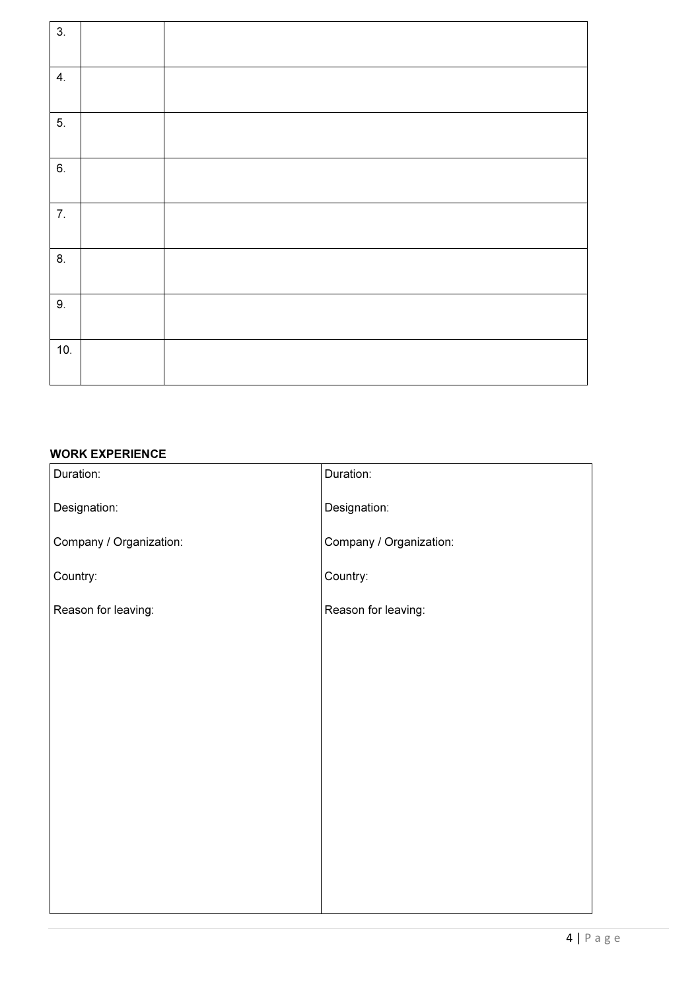| 3.  |  |
|-----|--|
| 4.  |  |
| 5.  |  |
| 6.  |  |
| 7.  |  |
| 8.  |  |
| 9.  |  |
| 10. |  |

### WORK EXPERIENCE

| Duration:               | Duration:               |
|-------------------------|-------------------------|
| Designation:            | Designation:            |
| Company / Organization: | Company / Organization: |
| Country:                | Country:                |
| Reason for leaving:     | Reason for leaving:     |
|                         |                         |
|                         |                         |
|                         |                         |
|                         |                         |
|                         |                         |
|                         |                         |
|                         |                         |
|                         |                         |
|                         |                         |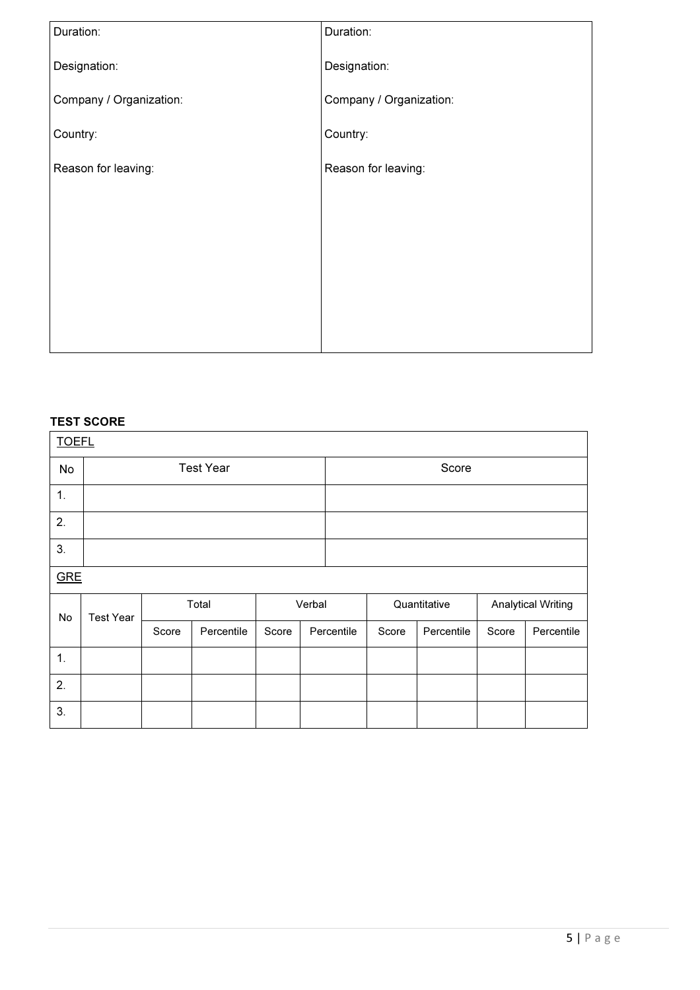| Duration:               | Duration:               |
|-------------------------|-------------------------|
| Designation:            | Designation:            |
| Company / Organization: | Company / Organization: |
| Country:                | Country:                |
| Reason for leaving:     | Reason for leaving:     |
|                         |                         |
|                         |                         |
|                         |                         |
|                         |                         |
|                         |                         |

# TEST SCORE

| <b>TOEFL</b> |                  |       |                  |        |  |            |       |              |                           |            |
|--------------|------------------|-------|------------------|--------|--|------------|-------|--------------|---------------------------|------------|
| No           |                  |       | <b>Test Year</b> |        |  |            | Score |              |                           |            |
| 1.           |                  |       |                  |        |  |            |       |              |                           |            |
| 2.           |                  |       |                  |        |  |            |       |              |                           |            |
| 3.           |                  |       |                  |        |  |            |       |              |                           |            |
| <b>GRE</b>   |                  |       |                  |        |  |            |       |              |                           |            |
| No           | <b>Test Year</b> | Total |                  | Verbal |  |            |       | Quantitative | <b>Analytical Writing</b> |            |
|              |                  | Score | Percentile       | Score  |  | Percentile | Score | Percentile   | Score                     | Percentile |
| 1.           |                  |       |                  |        |  |            |       |              |                           |            |
| 2.           |                  |       |                  |        |  |            |       |              |                           |            |
| 3.           |                  |       |                  |        |  |            |       |              |                           |            |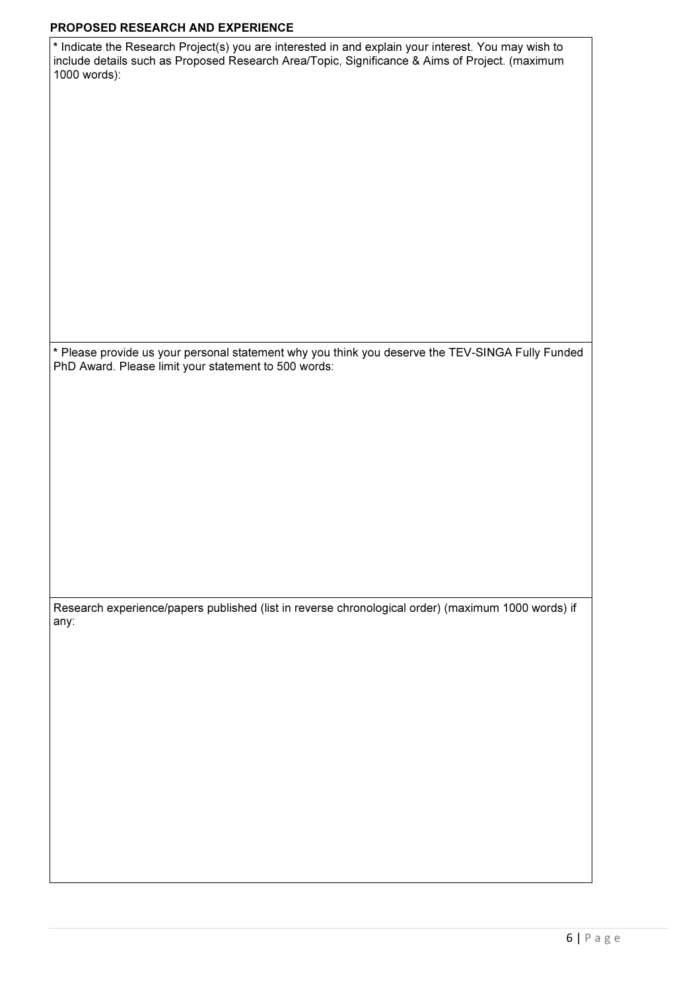#### PROPOSED RESEARCH AND EXPERIENCE

| * Indicate the Research Project(s) you are interested in and explain your interest. You may wish to |
|-----------------------------------------------------------------------------------------------------|
| include details such as Proposed Research Area/Topic, Significance & Aims of Project. (maximum      |
| 1000 words):                                                                                        |

\* Please provide us your personal statement why you think you deserve the TEV-SINGA Fully Funded PhD Award. Please limit your statement to 500 words:

Research experience/papers published (list in reverse chronological order) (maximum 1000 words) if any: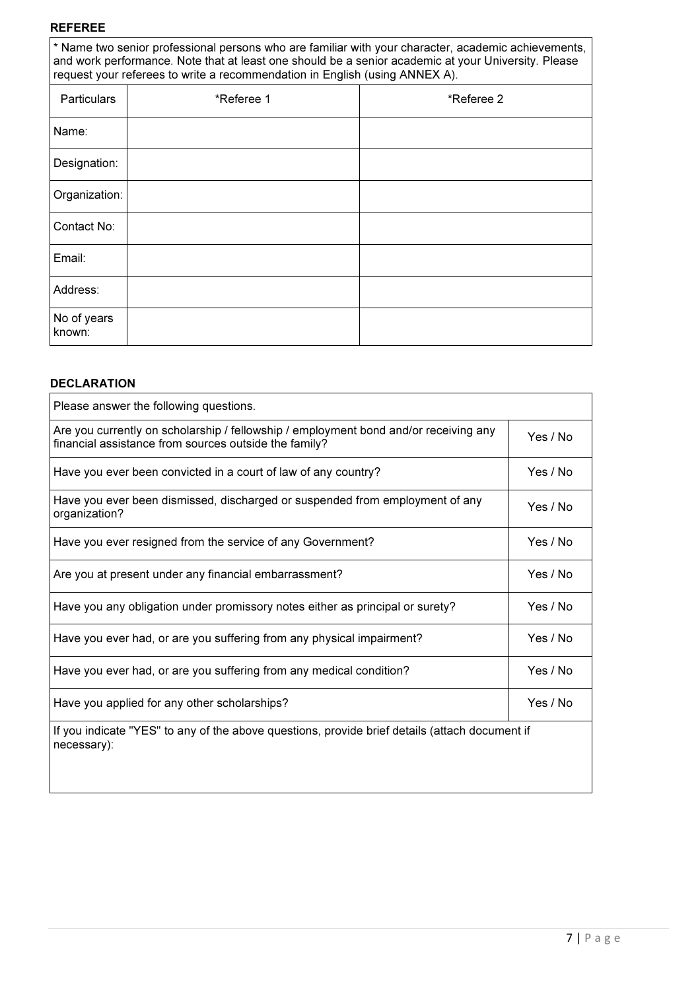#### REFEREE

\* Name two senior professional persons who are familiar with your character, academic achievements, and work performance. Note that at least one should be a senior academic at your University. Please request your referees to write a recommendation in English (using ANNEX A).

| Particulars           | *Referee 1 | *Referee 2 |
|-----------------------|------------|------------|
| Name:                 |            |            |
| Designation:          |            |            |
| Organization:         |            |            |
| Contact No:           |            |            |
| Email:                |            |            |
| Address:              |            |            |
| No of years<br>known: |            |            |

#### DECLARATION

| Please answer the following questions.                                                                                                        |          |
|-----------------------------------------------------------------------------------------------------------------------------------------------|----------|
| Are you currently on scholarship / fellowship / employment bond and/or receiving any<br>financial assistance from sources outside the family? | Yes / No |
| Have you ever been convicted in a court of law of any country?                                                                                | Yes / No |
| Have you ever been dismissed, discharged or suspended from employment of any<br>organization?                                                 | Yes / No |
| Have you ever resigned from the service of any Government?                                                                                    | Yes / No |
| Are you at present under any financial embarrassment?                                                                                         | Yes / No |
| Have you any obligation under promissory notes either as principal or surety?                                                                 | Yes / No |
| Have you ever had, or are you suffering from any physical impairment?                                                                         | Yes / No |
| Have you ever had, or are you suffering from any medical condition?                                                                           | Yes / No |
| Have you applied for any other scholarships?                                                                                                  | Yes / No |
| If you indicate "YES" to any of the above questions, provide brief details (attach document if<br>necessary):                                 |          |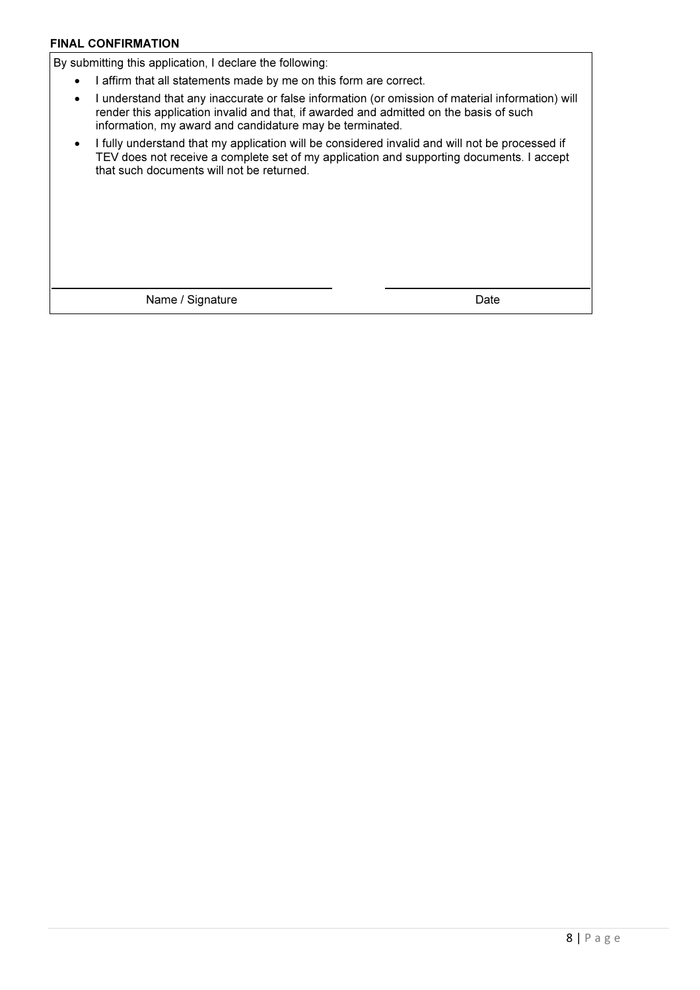### FINAL CONFIRMATION

By submitting this application, I declare the following:

- I affirm that all statements made by me on this form are correct.
- I understand that any inaccurate or false information (or omission of material information) will render this application invalid and that, if awarded and admitted on the basis of such information, my award and candidature may be terminated.
- I fully understand that my application will be considered invalid and will not be processed if TEV does not receive a complete set of my application and supporting documents. I accept that such documents will not be returned.

Name / Signature Date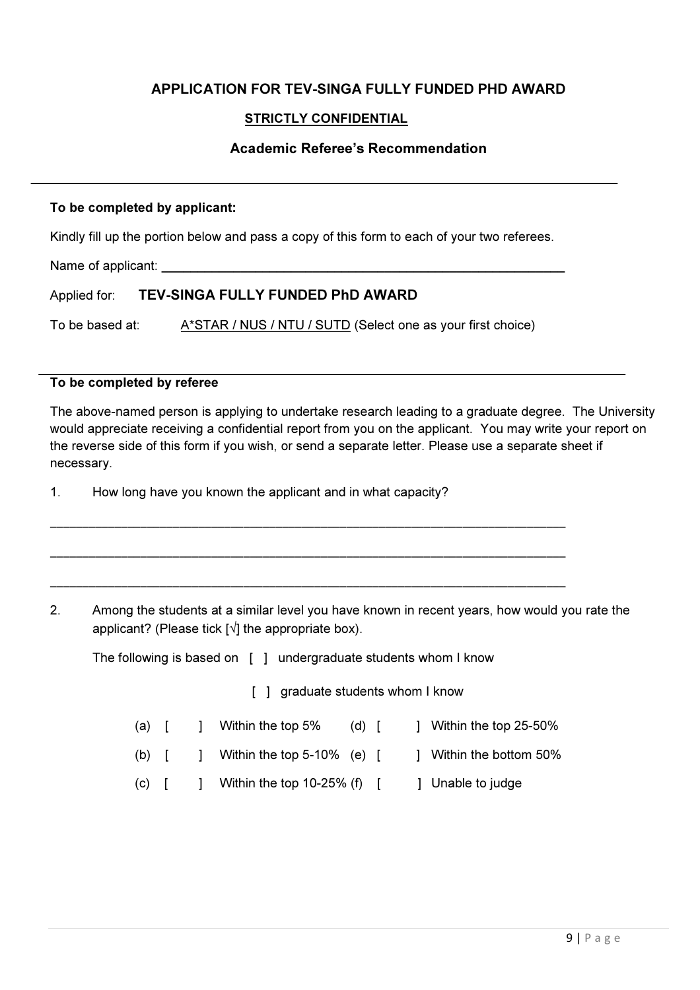# APPLICATION FOR TEV-SINGA FULLY FUNDED PHD AWARD

# STRICTLY CONFIDENTIAL

# Academic Referee's Recommendation

### To be completed by applicant:

Kindly fill up the portion below and pass a copy of this form to each of your two referees.

Name of applicant:

# Applied for: TEV-SINGA FULLY FUNDED PhD AWARD

To be based at: A\*STAR / NUS / NTU / SUTD (Select one as your first choice)

### To be completed by referee

The above-named person is applying to undertake research leading to a graduate degree. The University would appreciate receiving a confidential report from you on the applicant. You may write your report on the reverse side of this form if you wish, or send a separate letter. Please use a separate sheet if necessary.

1. How long have you known the applicant and in what capacity?

2. Among the students at a similar level you have known in recent years, how would you rate the applicant? (Please tick  $\lceil \sqrt{\rceil} \rceil$  the appropriate box).

The following is based on [ ] undergraduate students whom I know

\_\_\_\_\_\_\_\_\_\_\_\_\_\_\_\_\_\_\_\_\_\_\_\_\_\_\_\_\_\_\_\_\_\_\_\_\_\_\_\_\_\_\_\_\_\_\_\_\_\_\_\_\_\_\_\_\_\_\_\_\_\_\_\_\_\_\_\_\_\_\_\_\_\_\_\_\_\_\_\_

\_\_\_\_\_\_\_\_\_\_\_\_\_\_\_\_\_\_\_\_\_\_\_\_\_\_\_\_\_\_\_\_\_\_\_\_\_\_\_\_\_\_\_\_\_\_\_\_\_\_\_\_\_\_\_\_\_\_\_\_\_\_\_\_\_\_\_\_\_\_\_\_\_\_\_\_\_\_\_\_

\_\_\_\_\_\_\_\_\_\_\_\_\_\_\_\_\_\_\_\_\_\_\_\_\_\_\_\_\_\_\_\_\_\_\_\_\_\_\_\_\_\_\_\_\_\_\_\_\_\_\_\_\_\_\_\_\_\_\_\_\_\_\_\_\_\_\_\_\_\_\_\_\_\_\_\_\_\_\_\_

[ ] graduate students whom I know

- (a)  $\begin{bmatrix} 1 \\ 1 \end{bmatrix}$  Within the top 5% (d)  $\begin{bmatrix} 1 \\ 1 \end{bmatrix}$  Within the top 25-50%
- (b)  $\begin{bmatrix} 1 \\ 1 \end{bmatrix}$  Within the top 5-10% (e)  $\begin{bmatrix} 1 \\ 1 \end{bmatrix}$  Within the bottom 50%
- (c)  $\begin{bmatrix} 1 & 1 \end{bmatrix}$  Within the top 10-25% (f)  $\begin{bmatrix} 1 & 1 \end{bmatrix}$  Unable to judge